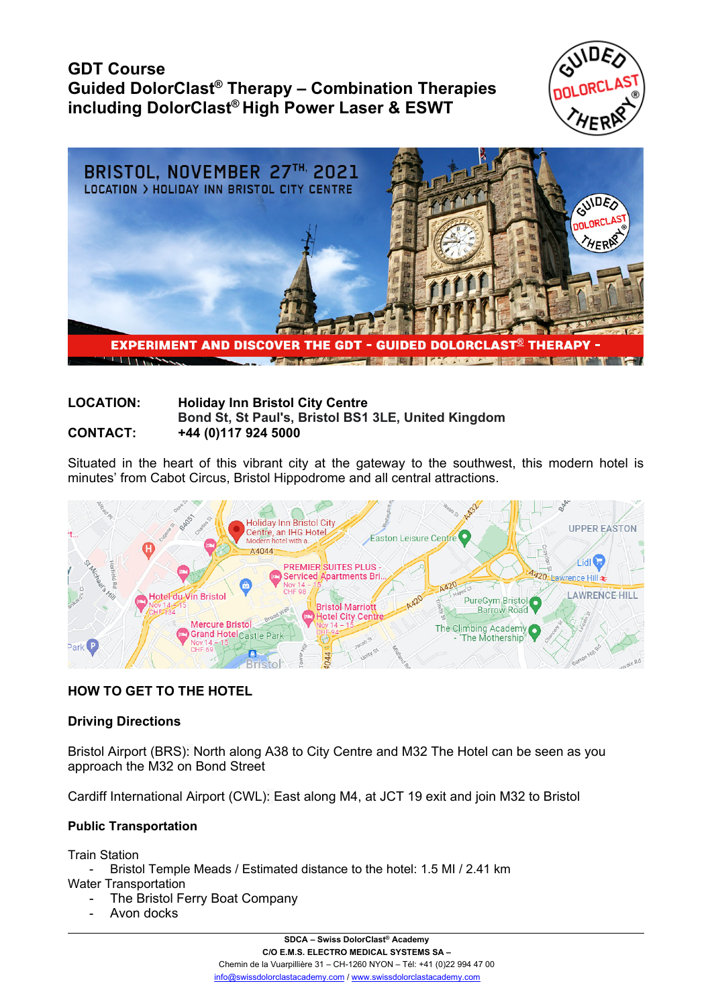# **GDT Course Guided DolorClast® Therapy – Combination Therapies including DolorClast® High Power Laser & ESWT**





#### **LOCATION: Holiday Inn Bristol City Centre Bond St, St Paul's, Bristol BS1 3LE, United Kingdom CONTACT: +44 (0)117 924 5000**

Situated in the heart of this vibrant city at the gateway to the southwest, this modern hotel is minutes' from Cabot Circus, Bristol Hippodrome and all central attractions.



## **HOW TO GET TO THE HOTEL**

## **Driving Directions**

Bristol Airport (BRS): North along A38 to City Centre and M32 The Hotel can be seen as you approach the M32 on Bond Street

Cardiff International Airport (CWL): East along M4, at JCT 19 exit and join M32 to Bristol

## **Public Transportation**

Train Station

- Bristol Temple Meads / Estimated distance to the hotel: 1.5 MI / 2.41 km Water Transportation
	- The Bristol Ferry Boat Company
	- Avon docks